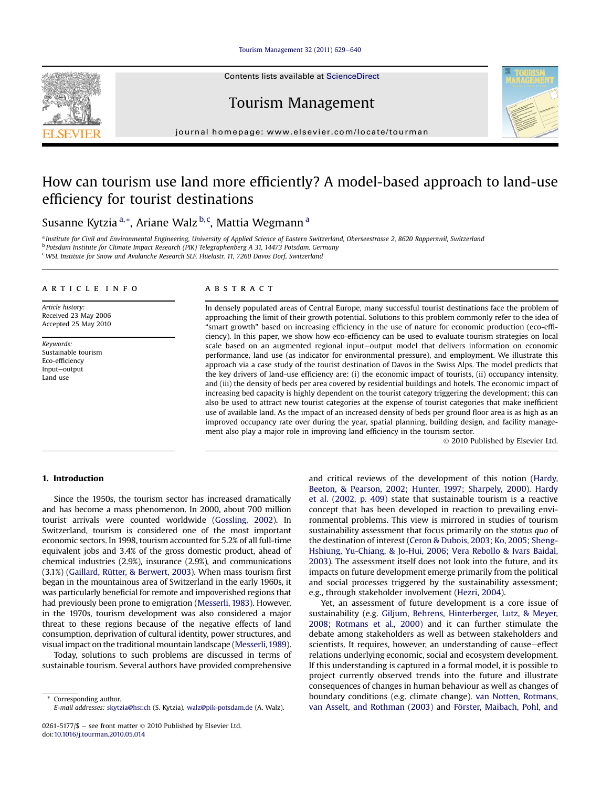[Tourism Management 32 \(2011\) 629](http://dx.doi.org/10.1016/j.tourman.2010.05.014)-[640](http://dx.doi.org/10.1016/j.tourman.2010.05.014)

Contents lists available at [ScienceDirect](www.sciencedirect.com/science/journal/02615177)



journal homepage: [www.elsevier.com/locate/tourman](http://www.elsevier.com/locate/tourman)

# How can tourism use land more efficiently? A model-based approach to land-use efficiency for tourist destinations

Susanne Kytzia<sup>a,</sup>\*, Ariane Walz<sup>b,c</sup>, Mattia Wegmann <sup>a</sup>

a Institute for Civil and Environmental Engineering, University of Applied Science of Eastern Switzerland, Oberseestrasse 2, 8620 Rapperswil, Switzerland <sup>b</sup> Potsdam Institute for Climate Impact Research (PIK) Telegraphenberg A 31, 14473 Potsdam. Germany <sup>c</sup> WSL Institute for Snow and Avalanche Research SLF, Flüelastr. 11, 7260 Davos Dorf, Switzerland

## article info

Article history: Received 23 May 2006 Accepted 25 May 2010

Keywords: Sustainable tourism Eco-efficiency Input-output Land use

## **ABSTRACT**

In densely populated areas of Central Europe, many successful tourist destinations face the problem of approaching the limit of their growth potential. Solutions to this problem commonly refer to the idea of "smart growth" based on increasing efficiency in the use of nature for economic production (eco-efficiency). In this paper, we show how eco-efficiency can be used to evaluate tourism strategies on local scale based on an augmented regional input-output model that delivers information on economic performance, land use (as indicator for environmental pressure), and employment. We illustrate this approach via a case study of the tourist destination of Davos in the Swiss Alps. The model predicts that the key drivers of land-use efficiency are: (i) the economic impact of tourists, (ii) occupancy intensity, and (iii) the density of beds per area covered by residential buildings and hotels. The economic impact of increasing bed capacity is highly dependent on the tourist category triggering the development; this can also be used to attract new tourist categories at the expense of tourist categories that make inefficient use of available land. As the impact of an increased density of beds per ground floor area is as high as an improved occupancy rate over during the year, spatial planning, building design, and facility management also play a major role in improving land efficiency in the tourism sector.

2010 Published by Elsevier Ltd.

## 1. Introduction

Since the 1950s, the tourism sector has increased dramatically and has become a mass phenomenon. In 2000, about 700 million tourist arrivals were counted worldwide ([Gossling, 2002](#page-10-0)). In Switzerland, tourism is considered one of the most important economic sectors. In 1998, tourism accounted for 5.2% of all full-time equivalent jobs and 3.4% of the gross domestic product, ahead of chemical industries (2.9%), insurance (2.9%), and communications (3.1%) ([Gaillard, Rütter, & Berwert, 2003](#page-10-0)). When mass tourism first began in the mountainous area of Switzerland in the early 1960s, it was particularly beneficial for remote and impoverished regions that had previously been prone to emigration [\(Messerli, 1983\)](#page-10-0). However, in the 1970s, tourism development was also considered a major threat to these regions because of the negative effects of land consumption, deprivation of cultural identity, power structures, and visual impact on the traditional mountain landscape ([Messerli,1989\)](#page-10-0).

Today, solutions to such problems are discussed in terms of sustainable tourism. Several authors have provided comprehensive

Corresponding author. E-mail addresses: [skytzia@hsr.ch](mailto:skytzia@hsr.ch) (S. Kytzia), [walz@pik-potsdam.de](mailto:walz@pik-potsdam.de) (A. Walz).

0261-5177/\$ - see front matter  $\odot$  2010 Published by Elsevier Ltd. doi[:10.1016/j.tourman.2010.05.014](http://dx.doi.org/10.1016/j.tourman.2010.05.014)

and critical reviews of the development of this notion ([Hardy,](#page-10-0) [Beeton, & Pearson, 2002; Hunter, 1997; Sharpely, 2000](#page-10-0)). [Hardy](#page-10-0) [et al. \(2002, p. 409\)](#page-10-0) state that sustainable tourism is a reactive concept that has been developed in reaction to prevailing environmental problems. This view is mirrored in studies of tourism sustainability assessment that focus primarily on the status quo of the destination of interest [\(Ceron & Dubois, 2003; Ko, 2005; Sheng-](#page-10-0)[Hshiung, Yu-Chiang, & Jo-Hui, 2006; Vera Rebollo & Ivars Baidal,](#page-10-0) [2003\)](#page-10-0). The assessment itself does not look into the future, and its impacts on future development emerge primarily from the political and social processes triggered by the sustainability assessment; e.g., through stakeholder involvement [\(Hezri, 2004](#page-10-0)).

Yet, an assessment of future development is a core issue of sustainability (e.g. [Giljum, Behrens, Hinterberger, Lutz, & Meyer,](#page-10-0) [2008; Rotmans et al., 2000](#page-10-0)) and it can further stimulate the debate among stakeholders as well as between stakeholders and scientists. It requires, however, an understanding of cause-effect relations underlying economic, social and ecosystem development. If this understanding is captured in a formal model, it is possible to project currently observed trends into the future and illustrate consequences of changes in human behaviour as well as changes of boundary conditions (e.g. climate change). [van Notten, Rotmans,](#page-11-0) [van Asselt, and Rothman \(2003\)](#page-11-0) and [Förster, Maibach, Pohl, and](#page-10-0)



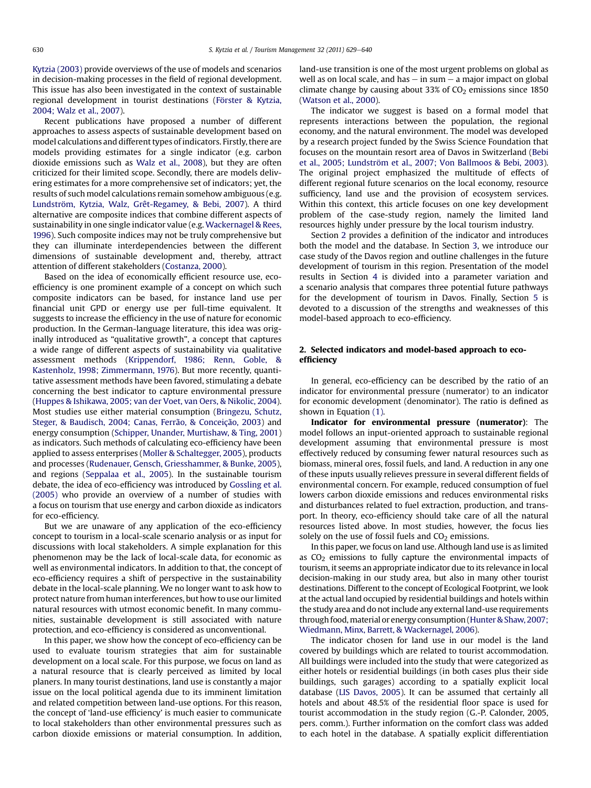[Kytzia \(2003\)](#page-10-0) provide overviews of the use of models and scenarios in decision-making processes in the field of regional development. This issue has also been investigated in the context of sustainable regional development in tourist destinations ([Förster & Kytzia,](#page-10-0) [2004; Walz et al., 2007\)](#page-10-0).

Recent publications have proposed a number of different approaches to assess aspects of sustainable development based on model calculations and different types of indicators. Firstly, there are models providing estimates for a single indicator (e.g. carbon dioxide emissions such as [Walz et al., 2008](#page-11-0)), but they are often criticized for their limited scope. Secondly, there are models delivering estimates for a more comprehensive set of indicators; yet, the results of such model calculations remain somehow ambiguous (e.g. [Lundström, Kytzia, Walz, Grêt-Regamey, & Bebi, 2007](#page-10-0)). A third alternative are composite indices that combine different aspects of sustainability in one single indicator value (e.g. [Wackernagel & Rees,](#page-11-0) [1996](#page-11-0)). Such composite indices may not be truly comprehensive but they can illuminate interdependencies between the different dimensions of sustainable development and, thereby, attract attention of different stakeholders ([Costanza, 2000\)](#page-10-0).

Based on the idea of economically efficient resource use, ecoefficiency is one prominent example of a concept on which such composite indicators can be based, for instance land use per financial unit GPD or energy use per full-time equivalent. It suggests to increase the efficiency in the use of nature for economic production. In the German-language literature, this idea was originally introduced as "qualitative growth", a concept that captures a wide range of different aspects of sustainability via qualitative assessment methods ([Krippendorf, 1986; Renn, Goble, &](#page-10-0) [Kastenholz, 1998; Zimmermann, 1976\)](#page-10-0). But more recently, quantitative assessment methods have been favored, stimulating a debate concerning the best indicator to capture environmental pressure ([Huppes & Ishikawa, 2005; van der Voet, van Oers, & Nikolic, 2004\)](#page-10-0). Most studies use either material consumption [\(Bringezu, Schutz,](#page-10-0) [Steger, & Baudisch, 2004; Canas, Ferrão, & Conceição, 2003](#page-10-0)) and energy consumption ([Schipper, Unander, Murtishaw, & Ting, 2001\)](#page-10-0) as indicators. Such methods of calculating eco-efficiency have been applied to assess enterprises ([Moller & Schaltegger, 2005](#page-10-0)), products and processes [\(Rudenauer, Gensch, Griesshammer, & Bunke, 2005\)](#page-10-0), and regions [\(Seppalaa et al., 2005\)](#page-10-0). In the sustainable tourism debate, the idea of eco-efficiency was introduced by [Gossling et al.](#page-10-0) [\(2005\)](#page-10-0) who provide an overview of a number of studies with a focus on tourism that use energy and carbon dioxide as indicators for eco-efficiency.

But we are unaware of any application of the eco-efficiency concept to tourism in a local-scale scenario analysis or as input for discussions with local stakeholders. A simple explanation for this phenomenon may be the lack of local-scale data, for economic as well as environmental indicators. In addition to that, the concept of eco-efficiency requires a shift of perspective in the sustainability debate in the local-scale planning. We no longer want to ask how to protect nature from human interferences, but how to use our limited natural resources with utmost economic benefit. In many communities, sustainable development is still associated with nature protection, and eco-efficiency is considered as unconventional.

In this paper, we show how the concept of eco-efficiency can be used to evaluate tourism strategies that aim for sustainable development on a local scale. For this purpose, we focus on land as a natural resource that is clearly perceived as limited by local planers. In many tourist destinations, land use is constantly a major issue on the local political agenda due to its imminent limitation and related competition between land-use options. For this reason, the concept of 'land-use efficiency' is much easier to communicate to local stakeholders than other environmental pressures such as carbon dioxide emissions or material consumption. In addition, land-use transition is one of the most urgent problems on global as well as on local scale, and has  $-$  in sum  $-$  a major impact on global climate change by causing about 33% of  $CO<sub>2</sub>$  emissions since 1850 ([Watson et al., 2000](#page-11-0)).

The indicator we suggest is based on a formal model that represents interactions between the population, the regional economy, and the natural environment. The model was developed by a research project funded by the Swiss Science Foundation that focuses on the mountain resort area of Davos in Switzerland [\(Bebi](#page-10-0) [et al., 2005; Lundström et al., 2007; Von Ballmoos & Bebi, 2003\)](#page-10-0). The original project emphasized the multitude of effects of different regional future scenarios on the local economy, resource sufficiency, land use and the provision of ecosystem services. Within this context, this article focuses on one key development problem of the case-study region, namely the limited land resources highly under pressure by the local tourism industry.

Section 2 provides a definition of the indicator and introduces both the model and the database. In Section [3](#page-3-0), we introduce our case study of the Davos region and outline challenges in the future development of tourism in this region. Presentation of the model results in Section [4](#page-5-0) is divided into a parameter variation and a scenario analysis that compares three potential future pathways for the development of tourism in Davos. Finally, Section [5](#page-8-0) is devoted to a discussion of the strengths and weaknesses of this model-based approach to eco-efficiency.

# 2. Selected indicators and model-based approach to ecoefficiency

In general, eco-efficiency can be described by the ratio of an indicator for environmental pressure (numerator) to an indicator for economic development (denominator). The ratio is defined as shown in Equation [\(1\)](#page-3-0).

Indicator for environmental pressure (numerator): The model follows an input-oriented approach to sustainable regional development assuming that environmental pressure is most effectively reduced by consuming fewer natural resources such as biomass, mineral ores, fossil fuels, and land. A reduction in any one of these inputs usually relieves pressure in several different fields of environmental concern. For example, reduced consumption of fuel lowers carbon dioxide emissions and reduces environmental risks and disturbances related to fuel extraction, production, and transport. In theory, eco-efficiency should take care of all the natural resources listed above. In most studies, however, the focus lies solely on the use of fossil fuels and  $CO<sub>2</sub>$  emissions.

In this paper, we focus on land use. Although land use is as limited as  $CO<sub>2</sub>$  emissions to fully capture the environmental impacts of tourism, it seems an appropriate indicator due to its relevance in local decision-making in our study area, but also in many other tourist destinations. Different to the concept of Ecological Footprint, we look at the actual land occupied by residential buildings and hotels within the study area and do not include any external land-use requirements through food, material or energy consumption ([Hunter & Shaw, 2007;](#page-10-0) [Wiedmann, Minx, Barrett, & Wackernagel, 2006](#page-10-0)).

The indicator chosen for land use in our model is the land covered by buildings which are related to tourist accommodation. All buildings were included into the study that were categorized as either hotels or residential buildings (in both cases plus their side buildings, such garages) according to a spatially explicit local database ([LIS Davos, 2005\)](#page-10-0). It can be assumed that certainly all hotels and about 48.5% of the residential floor space is used for tourist accommodation in the study region (G.-P. Calonder, 2005, pers. comm.). Further information on the comfort class was added to each hotel in the database. A spatially explicit differentiation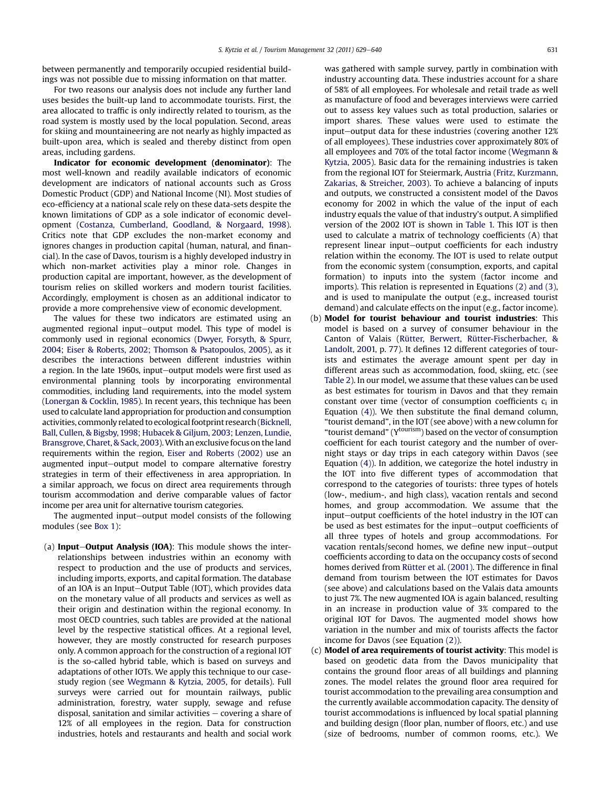between permanently and temporarily occupied residential buildings was not possible due to missing information on that matter.

For two reasons our analysis does not include any further land uses besides the built-up land to accommodate tourists. First, the area allocated to traffic is only indirectly related to tourism, as the road system is mostly used by the local population. Second, areas for skiing and mountaineering are not nearly as highly impacted as built-upon area, which is sealed and thereby distinct from open areas, including gardens.

Indicator for economic development (denominator): The most well-known and readily available indicators of economic development are indicators of national accounts such as Gross Domestic Product (GDP) and National Income (NI). Most studies of eco-efficiency at a national scale rely on these data-sets despite the known limitations of GDP as a sole indicator of economic development [\(Costanza, Cumberland, Goodland, & Norgaard, 1998\)](#page-10-0). Critics note that GDP excludes the non-market economy and ignores changes in production capital (human, natural, and financial). In the case of Davos, tourism is a highly developed industry in which non-market activities play a minor role. Changes in production capital are important, however, as the development of tourism relies on skilled workers and modern tourist facilities. Accordingly, employment is chosen as an additional indicator to provide a more comprehensive view of economic development.

The values for these two indicators are estimated using an augmented regional input-output model. This type of model is commonly used in regional economics ([Dwyer, Forsyth, & Spurr,](#page-10-0) [2004; Eiser & Roberts, 2002; Thomson & Psatopoulos, 2005\)](#page-10-0), as it describes the interactions between different industries within a region. In the late 1960s, input-output models were first used as environmental planning tools by incorporating environmental commodities, including land requirements, into the model system [\(Lonergan & Cocklin, 1985](#page-10-0)). In recent years, this technique has been used to calculate land appropriation for production and consumption activities, commonly related to ecological footprint research [\(Bicknell,](#page-10-0) [Ball, Cullen, & Bigsby, 1998; Hubacek & Giljum, 2003; Lenzen, Lundie,](#page-10-0) [Bransgrove, Charet, & Sack, 2003](#page-10-0)).With an exclusive focus on the land requirements within the region, [Eiser and Roberts \(2002\)](#page-10-0) use an augmented input-output model to compare alternative forestry strategies in term of their effectiveness in area appropriation. In a similar approach, we focus on direct area requirements through tourism accommodation and derive comparable values of factor income per area unit for alternative tourism categories.

The augmented input-output model consists of the following modules (see Box 1):

(a) Input-Output Analysis (IOA): This module shows the interrelationships between industries within an economy with respect to production and the use of products and services, including imports, exports, and capital formation. The database of an IOA is an Input-Output Table (IOT), which provides data on the monetary value of all products and services as well as their origin and destination within the regional economy. In most OECD countries, such tables are provided at the national level by the respective statistical offices. At a regional level, however, they are mostly constructed for research purposes only. A common approach for the construction of a regional IOT is the so-called hybrid table, which is based on surveys and adaptations of other IOTs. We apply this technique to our casestudy region (see [Wegmann & Kytzia, 2005](#page-11-0), for details). Full surveys were carried out for mountain railways, public administration, forestry, water supply, sewage and refuse disposal, sanitation and similar activities  $-$  covering a share of 12% of all employees in the region. Data for construction industries, hotels and restaurants and health and social work

was gathered with sample survey, partly in combination with industry accounting data. These industries account for a share of 58% of all employees. For wholesale and retail trade as well as manufacture of food and beverages interviews were carried out to assess key values such as total production, salaries or import shares. These values were used to estimate the input-output data for these industries (covering another 12%) of all employees). These industries cover approximately 80% of all employees and 70% of the total factor income ([Wegmann &](#page-11-0) [Kytzia, 2005](#page-11-0)). Basic data for the remaining industries is taken from the regional IOT for Steiermark, Austria [\(Fritz, Kurzmann,](#page-10-0) [Zakarias, & Streicher, 2003\)](#page-10-0). To achieve a balancing of inputs and outputs, we constructed a consistent model of the Davos economy for 2002 in which the value of the input of each industry equals the value of that industry's output. A simplified version of the 2002 IOT is shown in [Table 1.](#page-4-0) This IOT is then used to calculate a matrix of technology coefficients (A) that represent linear input-output coefficients for each industry relation within the economy. The IOT is used to relate output from the economic system (consumption, exports, and capital formation) to inputs into the system (factor income and imports). This relation is represented in Equations [\(2\) and \(3\),](#page-3-0) and is used to manipulate the output (e.g., increased tourist demand) and calculate effects on the input (e.g., factor income).

- (b) Model for tourist behaviour and tourist industries: This model is based on a survey of consumer behaviour in the Canton of Valais ([Rütter, Berwert, Rütter-Fischerbacher, &](#page-10-0) [Landolt, 2001,](#page-10-0) p. 77). It defines 12 different categories of tourists and estimates the average amount spent per day in different areas such as accommodation, food, skiing, etc. (see [Table 2](#page-4-0)). In our model, we assume that these values can be used as best estimates for tourism in Davos and that they remain constant over time (vector of consumption coefficients  $c_i$  in Equation [\(4\)](#page-3-0)). We then substitute the final demand column, "tourist demand", in the IOT (see above) with a new column for "tourist demand" (Ytourism) based on the vector of consumption coefficient for each tourist category and the number of overnight stays or day trips in each category within Davos (see Equation [\(4\)](#page-3-0)). In addition, we categorize the hotel industry in the IOT into five different types of accommodation that correspond to the categories of tourists: three types of hotels (low-, medium-, and high class), vacation rentals and second homes, and group accommodation. We assume that the input-output coefficients of the hotel industry in the IOT can be used as best estimates for the input-output coefficients of all three types of hotels and group accommodations. For vacation rentals/second homes, we define new input-output coefficients according to data on the occupancy costs of second homes derived from [Rütter et al. \(2001\)](#page-10-0). The difference in final demand from tourism between the IOT estimates for Davos (see above) and calculations based on the Valais data amounts to just 7%. The new augmented IOA is again balanced, resulting in an increase in production value of 3% compared to the original IOT for Davos. The augmented model shows how variation in the number and mix of tourists affects the factor income for Davos (see Equation [\(2\)](#page-3-0)).
- (c) Model of area requirements of tourist activity: This model is based on geodetic data from the Davos municipality that contains the ground floor areas of all buildings and planning zones. The model relates the ground floor area required for tourist accommodation to the prevailing area consumption and the currently available accommodation capacity. The density of tourist accommodations is influenced by local spatial planning and building design (floor plan, number of floors, etc.) and use (size of bedrooms, number of common rooms, etc.). We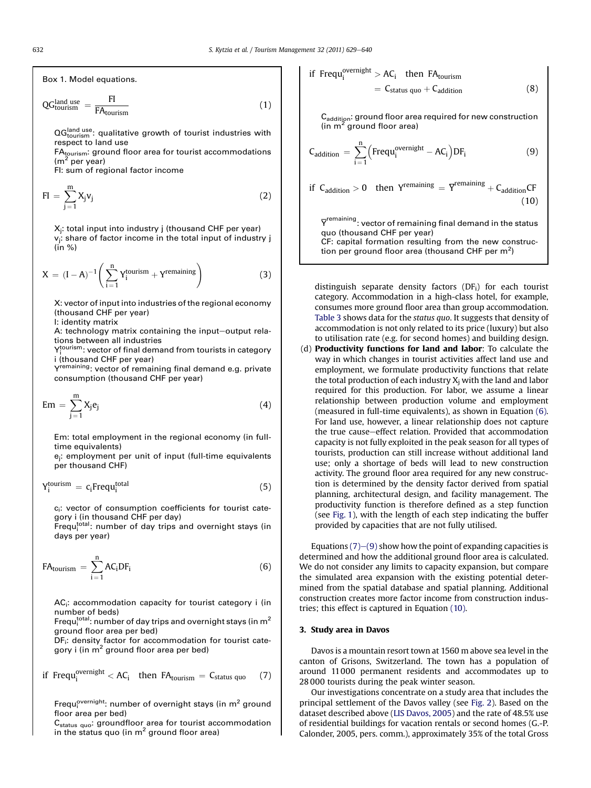<span id="page-3-0"></span>Box 1. Model equations.

$$
QG_{\text{tourism}}^{\text{land use}} = \frac{FI}{FA_{\text{tourism}}} \tag{1}
$$

QG<sup>land use</sup>: qualitative growth of tourist industries with respect to land use

FA<sub>tourism</sub>: ground floor area for tourist accommodations  $(m<sup>2</sup>$  per year)

FI: sum of regional factor income

$$
FI = \sum_{j=1}^{m} X_j v_j \tag{2}
$$

Xj: total input into industry j (thousand CHF per year) vj: share of factor income in the total input of industry j  $(in %)$ 

$$
X = (I - A)^{-1} \left( \sum_{i=1}^{n} Y_i^{\text{tourism}} + Y^{\text{remaining}} \right)
$$
 (3)

X: vector of input into industries of the regional economy (thousand CHF per year)

I: identity matrix

A: technology matrix containing the input-output relations between all industries

 $\mathsf{Y}^{\mathsf{tourism}}_{{\mathsf{i}}}$ : vector of final demand from tourists in category i (thousand CHF per year)

Yremaining: vector of remaining final demand e.g. private consumption (thousand CHF per year)

$$
Em = \sum_{j=1}^{m} X_j e_j \tag{4}
$$

Em: total employment in the regional economy (in fulltime equivalents)

ej: employment per unit of input (full-time equivalents per thousand CHF)

$$
Y_i^{tourism} = c_i Frequ_i^{total}
$$
 (5)

c<sub>i</sub>: vector of consumption coefficients for tourist category i (in thousand CHF per day)

Frequ<sup>total</sup>: number of day trips and overnight stays (in days per year)

$$
FA_{tourism} = \sum_{i=1}^{n} AC_i DF_i
$$
 (6)

AC<sub>i</sub>: accommodation capacity for tourist category i (in number of beds)

Frequ $_1^{\rm total}$ : number of day trips and overnight stays (in m $^2$ ground floor area per bed)

DF<sub>i</sub>: density factor for accommodation for tourist category i (in m<sup>2</sup> ground floor area per bed)

$$
\text{if } \text{Frequ}^{\text{overnight}}_i < AC_i \quad \text{then } \text{FA}_{\text{tourism}} = C_{\text{status quo}} \quad (7)
$$

Frequ<sup>overnight</sup>: number of overnight stays (in m<sup>2</sup> ground floor area per bed)

C<sub>status quo</sub>: groundfloor area for tourist accommodation in the status quo (in  $m<sup>2</sup>$  ground floor area)

$$
\begin{aligned} \text{if } \text{Frequ}_{i}^{\text{overnight}} > AC_{i} \quad \text{then } \text{FA}_{\text{tourism}} \\ &= \text{C}_{\text{status quo}} + \text{C}_{\text{addition}} \end{aligned} \tag{8}
$$

C<sub>addition</sub>: ground floor area required for new construction (in  $m^2$  ground floor area)

$$
C_{addition} = \sum_{i=1}^{n} (Frequ_i^{overnight} - AC_i) DF_i
$$
 (9)

$$
\text{if } C_{addition} > 0 \quad \text{then } Y^{\text{remaining}} = \overline{Y}^{\text{remaining}} + C_{addition} \text{CF} \tag{10}
$$

 $\overline{Y}^{\text{remaining}}$ : vector of remaining final demand in the status quo (thousand CHF per year) CF: capital formation resulting from the new construction per ground floor area (thousand CHF per  $m^2$ )

distinguish separate density factors  $(DF_i)$  for each tourist category. Accommodation in a high-class hotel, for example, consumes more ground floor area than group accommodation. [Table 3](#page-5-0) shows data for the status quo. It suggests that density of accommodation is not only related to its price (luxury) but also to utilisation rate (e.g. for second homes) and building design.

(d) Productivity functions for land and labor: To calculate the way in which changes in tourist activities affect land use and employment, we formulate productivity functions that relate the total production of each industry  $X_i$  with the land and labor required for this production. For labor, we assume a linear relationship between production volume and employment (measured in full-time equivalents), as shown in Equation (6). For land use, however, a linear relationship does not capture the true cause-effect relation. Provided that accommodation capacity is not fully exploited in the peak season for all types of tourists, production can still increase without additional land use; only a shortage of beds will lead to new construction activity. The ground floor area required for any new construction is determined by the density factor derived from spatial planning, architectural design, and facility management. The productivity function is therefore defined as a step function (see [Fig. 1](#page-5-0)), with the length of each step indicating the buffer provided by capacities that are not fully utilised.

Equations  $(7)-(9)$  show how the point of expanding capacities is determined and how the additional ground floor area is calculated. We do not consider any limits to capacity expansion, but compare the simulated area expansion with the existing potential determined from the spatial database and spatial planning. Additional construction creates more factor income from construction industries; this effect is captured in Equation (10).

## 3. Study area in Davos

Davos is a mountain resort town at 1560 m above sea level in the canton of Grisons, Switzerland. The town has a population of around 11000 permanent residents and accommodates up to 28 000 tourists during the peak winter season.

Our investigations concentrate on a study area that includes the principal settlement of the Davos valley (see [Fig. 2\)](#page-6-0). Based on the dataset described above ([LIS Davos, 2005](#page-10-0)) and the rate of 48.5% use of residential buildings for vacation rentals or second homes (G.-P. Calonder, 2005, pers. comm.), approximately 35% of the total Gross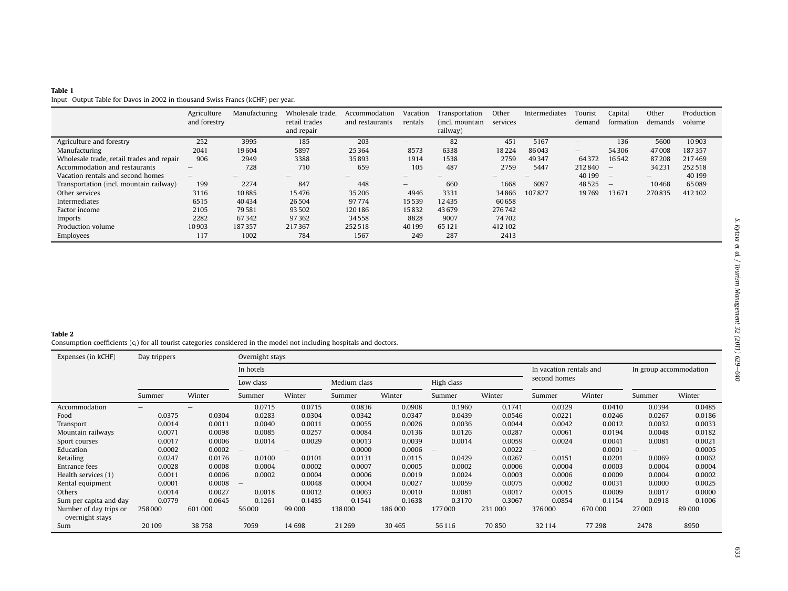## <span id="page-4-0"></span>Table 1 Input-Output Table for Davos in 2002 in thousand Swiss Francs (kCHF) per year.

|                                           | Agriculture<br>and forestry  | Manufacturing | Wholesale trade.<br>retail trades<br>and repair | Accommodation<br>and restaurants | Vacation<br>rentals      | Transportation<br>(incl. mountain)<br>railway) | Other<br>services | Intermediates | Fourist<br>demand               | Capital<br>formation            | Other<br>demands | Production<br>volume |
|-------------------------------------------|------------------------------|---------------|-------------------------------------------------|----------------------------------|--------------------------|------------------------------------------------|-------------------|---------------|---------------------------------|---------------------------------|------------------|----------------------|
| Agriculture and forestry                  | 252                          | 3995          | 185                                             | 203                              | -                        | 82                                             | 451               | 5167          | $\hspace{0.1mm}-\hspace{0.1mm}$ | 136                             | 5600             | 10903                |
| Manufacturing                             | 2041                         | 19604         | 5897                                            | 25364                            | 8573                     | 6338                                           | 18224             | 86043         | $\overline{\phantom{a}}$        | 54306                           | 47008            | 187357               |
| Wholesale trade, retail trades and repair | 906                          | 2949          | 3388                                            | 35893                            | 1914                     | 1538                                           | 2759              | 49347         | 64372                           | 16542                           | 87208            | 217469               |
| Accommodation and restaurants             | $\qquad \qquad \blacksquare$ | 728           | 710                                             | 659                              | 105                      | 487                                            | 2759              | 5447          | 212840                          | $\hspace{0.1mm}-\hspace{0.1mm}$ | 34231            | 252518               |
| Vacation rentals and second homes         | $\overline{\phantom{0}}$     |               | $\overline{\phantom{a}}$                        | $\overline{\phantom{a}}$         | $\overline{\phantom{a}}$ |                                                |                   |               | 40199                           | $\hspace{0.1mm}-\hspace{0.1mm}$ |                  | 40199                |
| Transportation (incl. mountain railway)   | 199                          | 2274          | 847                                             | 448                              | $\overline{\phantom{a}}$ | 660                                            | 1668              | 6097          | 48525                           | $\hspace{0.1mm}-\hspace{0.1mm}$ | 10468            | 65089                |
| Other services                            | 3116                         | 10885         | 15476                                           | 35206                            | 4946                     | 3331                                           | 34866             | 107827        | 19769                           | 13 671                          | 270835           | 412102               |
| Intermediates                             | 6515                         | 40434         | 26 5 04                                         | 97774                            | 15539                    | 12435                                          | 60658             |               |                                 |                                 |                  |                      |
| Factor income                             | 2105                         | 79581         | 93 502                                          | 120186                           | 15832                    | 43679                                          | 276742            |               |                                 |                                 |                  |                      |
| Imports                                   | 2282                         | 67342         | 97362                                           | 34558                            | 8828                     | 9007                                           | 74702             |               |                                 |                                 |                  |                      |
| Production volume                         | 10903                        | 187357        | 217367                                          | 252518                           | 40199                    | 65121                                          | 412102            |               |                                 |                                 |                  |                      |
| Employees                                 | 117                          | 1002          | 784                                             | 1567                             | 249                      | 287                                            | 2413              |               |                                 |                                 |                  |                      |

## Table 2

Consumption coefficients  $(c_i)$  for all tourist categories considered in the model not including hospitals and doctors.

| Expenses (in kCHF)     | Day trippers |         | Overnight stays          |        |              |         |                                 |         |                          |                         |                          |                        |  |
|------------------------|--------------|---------|--------------------------|--------|--------------|---------|---------------------------------|---------|--------------------------|-------------------------|--------------------------|------------------------|--|
|                        |              |         | In hotels                |        |              |         |                                 |         |                          | In vacation rentals and |                          | In group accommodation |  |
|                        |              |         | Low class                |        | Medium class |         | High class                      |         | second homes             |                         |                          |                        |  |
|                        | Summer       | Winter  | Summer                   | Winter | Summer       | Winter  | Summer                          | Winter  | Summer                   | Winter                  | Summer                   | Winter                 |  |
| Accommodation          |              |         | 0.0715                   | 0.0715 | 0.0836       | 0.0908  | 0.1960                          | 0.1741  | 0.0329                   | 0.0410                  | 0.0394                   | 0.0485                 |  |
| Food                   | 0.0375       | 0.0304  | 0.0283                   | 0.0304 | 0.0342       | 0.0347  | 0.0439                          | 0.0546  | 0.0221                   | 0.0246                  | 0.0267                   | 0.0186                 |  |
| Transport              | 0.0014       | 0.0011  | 0.0040                   | 0.0011 | 0.0055       | 0.0026  | 0.0036                          | 0.0044  | 0.0042                   | 0.0012                  | 0.0032                   | 0.0033                 |  |
| Mountain railways      | 0.0071       | 0.0098  | 0.0085                   | 0.0257 | 0.0084       | 0.0136  | 0.0126                          | 0.0287  | 0.0061                   | 0.0194                  | 0.0048                   | 0.0182                 |  |
| Sport courses          | 0.0017       | 0.0006  | 0.0014                   | 0.0029 | 0.0013       | 0.0039  | 0.0014                          | 0.0059  | 0.0024                   | 0.0041                  | 0.0081                   | 0.0021                 |  |
| Education              | 0.0002       | 0.0002  | $\overline{\phantom{a}}$ |        | 0.0000       | 0.0006  | $\hspace{0.1mm}-\hspace{0.1mm}$ | 0.0022  | $\overline{\phantom{a}}$ | 0.0001                  | $\overline{\phantom{0}}$ | 0.0005                 |  |
| Retailing              | 0.0247       | 0.0176  | 0.0100                   | 0.0101 | 0.0131       | 0.0115  | 0.0429                          | 0.0267  | 0.0151                   | 0.0201                  | 0.0069                   | 0.0062                 |  |
| Entrance fees          | 0.0028       | 0.0008  | 0.0004                   | 0.0002 | 0.0007       | 0.0005  | 0.0002                          | 0.0006  | 0.0004                   | 0.0003                  | 0.0004                   | 0.0004                 |  |
| Health services (1)    | 0.0011       | 0.0006  | 0.0002                   | 0.0004 | 0.0006       | 0.0019  | 0.0024                          | 0.0003  | 0.0006                   | 0.0009                  | 0.0004                   | 0.0002                 |  |
| Rental equipment       | 0.0001       | 0.0008  | $\overline{\phantom{a}}$ | 0.0048 | 0.0004       | 0.0027  | 0.0059                          | 0.0075  | 0.0002                   | 0.0031                  | 0.0000                   | 0.0025                 |  |
| Others                 | 0.0014       | 0.0027  | 0.0018                   | 0.0012 | 0.0063       | 0.0010  | 0.0081                          | 0.0017  | 0.0015                   | 0.0009                  | 0.0017                   | 0.0000                 |  |
| Sum per capita and day | 0.0779       | 0.0645  | 0.1261                   | 0.1485 | 0.1541       | 0.1638  | 0.3170                          | 0.3067  | 0.0854                   | 0.1154                  | 0.0918                   | 0.1006                 |  |
| Number of day trips or | 258 000      | 601 000 | 56000                    | 99 000 | 138 000      | 186 000 | 177000                          | 231 000 | 376000                   | 670 000                 | 27000                    | 89 000                 |  |
| overnight stays        |              |         |                          |        |              |         |                                 |         |                          |                         |                          |                        |  |
| Sum                    | 20109        | 38 758  | 7059                     | 14 698 | 21269        | 30 465  | 56116                           | 70 850  | 32114                    | 77 298                  | 2478                     | 8950                   |  |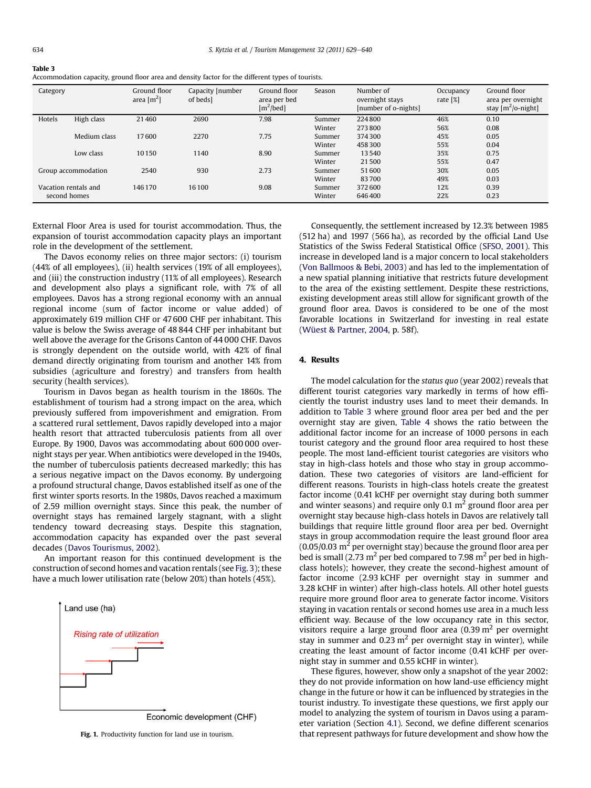#### <span id="page-5-0"></span>Table 3

Accommodation capacity, ground floor area and density factor for the different types of tourists.

| Category |                      | Ground floor<br>area $\rm [m^2]$ | Capacity [number<br>of beds] | Ground floor<br>area per bed<br>$[m^2/bed]$ | Season | Number of<br>overnight stays<br>[number of o-nights] | Occupancy<br>rate [%] | Ground floor<br>area per overnight<br>stay $[m^2$ /o-night] |
|----------|----------------------|----------------------------------|------------------------------|---------------------------------------------|--------|------------------------------------------------------|-----------------------|-------------------------------------------------------------|
| Hotels   | High class           | 21460                            | 2690                         | 7.98                                        | Summer | 224800                                               | 46%                   | 0.10                                                        |
|          |                      |                                  |                              |                                             | Winter | 273800                                               | 56%                   | 0.08                                                        |
|          | Medium class         | 17600                            | 2270                         | 7.75                                        | Summer | 374300                                               | 45%                   | 0.05                                                        |
|          |                      |                                  |                              |                                             | Winter | 458300                                               | 55%                   | 0.04                                                        |
|          | Low class            | 10150                            | 1140                         | 8.90                                        | Summer | 13540                                                | 35%                   | 0.75                                                        |
|          |                      |                                  |                              |                                             | Winter | 21500                                                | 55%                   | 0.47                                                        |
|          | Group accommodation  | 2540                             | 930                          | 2.73                                        | Summer | 51600                                                | 30%                   | 0.05                                                        |
|          |                      |                                  |                              |                                             | Winter | 83700                                                | 49%                   | 0.03                                                        |
|          | Vacation rentals and | 146170                           | 16 100                       | 9.08                                        | Summer | 372600                                               | 12%                   | 0.39                                                        |
|          | second homes         |                                  |                              |                                             | Winter | 646400                                               | 22%                   | 0.23                                                        |

External Floor Area is used for tourist accommodation. Thus, the expansion of tourist accommodation capacity plays an important role in the development of the settlement.

The Davos economy relies on three major sectors: (i) tourism (44% of all employees), (ii) health services (19% of all employees), and (iii) the construction industry (11% of all employees). Research and development also plays a significant role, with 7% of all employees. Davos has a strong regional economy with an annual regional income (sum of factor income or value added) of approximately 619 million CHF or 47 600 CHF per inhabitant. This value is below the Swiss average of 48 844 CHF per inhabitant but well above the average for the Grisons Canton of 44 000 CHF. Davos is strongly dependent on the outside world, with 42% of final demand directly originating from tourism and another 14% from subsidies (agriculture and forestry) and transfers from health security (health services).

Tourism in Davos began as health tourism in the 1860s. The establishment of tourism had a strong impact on the area, which previously suffered from impoverishment and emigration. From a scattered rural settlement, Davos rapidly developed into a major health resort that attracted tuberculosis patients from all over Europe. By 1900, Davos was accommodating about 600 000 overnight stays per year. When antibiotics were developed in the 1940s, the number of tuberculosis patients decreased markedly; this has a serious negative impact on the Davos economy. By undergoing a profound structural change, Davos established itself as one of the first winter sports resorts. In the 1980s, Davos reached a maximum of 2.59 million overnight stays. Since this peak, the number of overnight stays has remained largely stagnant, with a slight tendency toward decreasing stays. Despite this stagnation, accommodation capacity has expanded over the past several decades [\(Davos Tourismus, 2002](#page-10-0)).

An important reason for this continued development is the construction of second homes and vacation rentals (see [Fig. 3](#page-6-0)); these have a much lower utilisation rate (below 20%) than hotels (45%).



Economic development (CHF)

Fig. 1. Productivity function for land use in tourism.

Consequently, the settlement increased by 12.3% between 1985 (512 ha) and 1997 (566 ha), as recorded by the official Land Use Statistics of the Swiss Federal Statistical Office ([SFSO, 2001](#page-10-0)). This increase in developed land is a major concern to local stakeholders ([Von Ballmoos & Bebi, 2003\)](#page-11-0) and has led to the implementation of a new spatial planning initiative that restricts future development to the area of the existing settlement. Despite these restrictions, existing development areas still allow for significant growth of the ground floor area. Davos is considered to be one of the most favorable locations in Switzerland for investing in real estate ([Wüest & Partner, 2004](#page-11-0), p. 58f).

# 4. Results

The model calculation for the status quo (year 2002) reveals that different tourist categories vary markedly in terms of how efficiently the tourist industry uses land to meet their demands. In addition to Table 3 where ground floor area per bed and the per overnight stay are given, [Table 4](#page-7-0) shows the ratio between the additional factor income for an increase of 1000 persons in each tourist category and the ground floor area required to host these people. The most land-efficient tourist categories are visitors who stay in high-class hotels and those who stay in group accommodation. These two categories of visitors are land-efficient for different reasons. Tourists in high-class hotels create the greatest factor income (0.41 kCHF per overnight stay during both summer and winter seasons) and require only 0.1  $m<sup>2</sup>$  ground floor area per overnight stay because high-class hotels in Davos are relatively tall buildings that require little ground floor area per bed. Overnight stays in group accommodation require the least ground floor area  $(0.05/0.03 \text{ m}^2 \text{ per overnight stay})$  because the ground floor area per bed is small (2.73 m<sup>2</sup> per bed compared to 7.98 m<sup>2</sup> per bed in highclass hotels); however, they create the second-highest amount of factor income (2.93 kCHF per overnight stay in summer and 3.28 kCHF in winter) after high-class hotels. All other hotel guests require more ground floor area to generate factor income. Visitors staying in vacation rentals or second homes use area in a much less efficient way. Because of the low occupancy rate in this sector, visitors require a large ground floor area (0.39  $m<sup>2</sup>$  per overnight stay in summer and  $0.23 \text{ m}^2$  per overnight stay in winter), while creating the least amount of factor income (0.41 kCHF per overnight stay in summer and 0.55 kCHF in winter).

These figures, however, show only a snapshot of the year 2002: they do not provide information on how land-use efficiency might change in the future or how it can be influenced by strategies in the tourist industry. To investigate these questions, we first apply our model to analyzing the system of tourism in Davos using a parameter variation (Section [4.1](#page-6-0)). Second, we define different scenarios that represent pathways for future development and show how the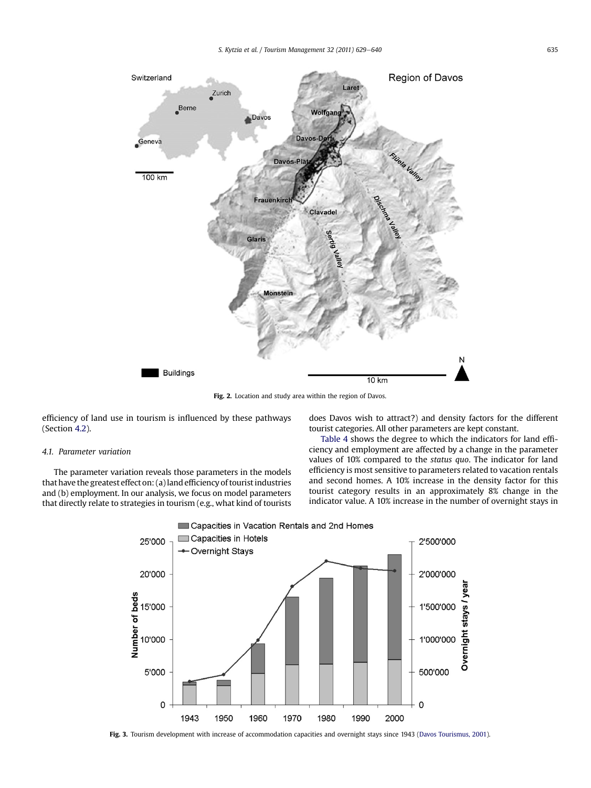<span id="page-6-0"></span>

Fig. 2. Location and study area within the region of Davos.

efficiency of land use in tourism is influenced by these pathways (Section [4.2](#page-7-0)).

## 4.1. Parameter variation

The parameter variation reveals those parameters in the models that have the greatest effect on: (a) land efficiency of tourist industries and (b) employment. In our analysis, we focus on model parameters that directly relate to strategies in tourism (e.g., what kind of tourists does Davos wish to attract?) and density factors for the different tourist categories. All other parameters are kept constant.

[Table 4](#page-7-0) shows the degree to which the indicators for land efficiency and employment are affected by a change in the parameter values of 10% compared to the status quo. The indicator for land efficiency is most sensitive to parameters related to vacation rentals and second homes. A 10% increase in the density factor for this tourist category results in an approximately 8% change in the indicator value. A 10% increase in the number of overnight stays in





Fig. 3. Tourism development with increase of accommodation capacities and overnight stays since 1943 ([Davos Tourismus, 2001\)](#page-10-0).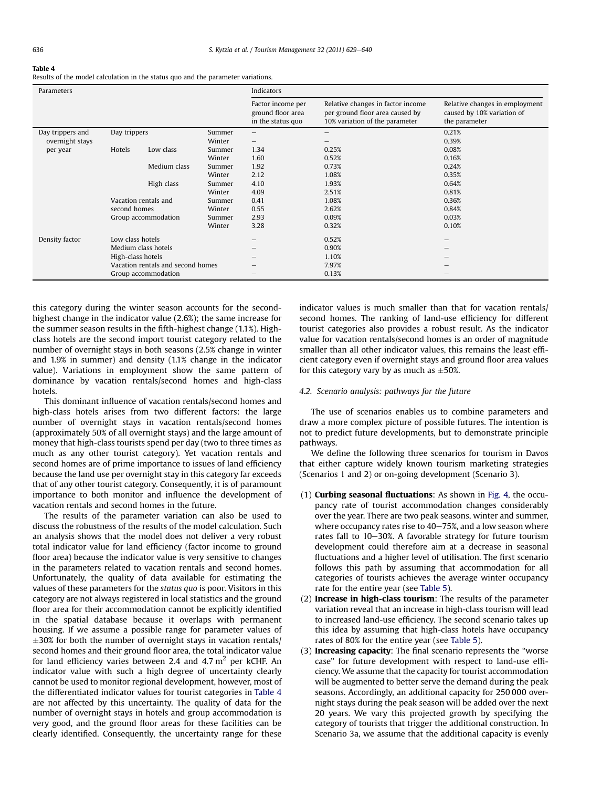#### <span id="page-7-0"></span>Table 4

Results of the model calculation in the status quo and the parameter variations.

| Parameters       |                                                    |                                   |        | Indicators                                                  |                                                                                                        |                                                                               |  |  |
|------------------|----------------------------------------------------|-----------------------------------|--------|-------------------------------------------------------------|--------------------------------------------------------------------------------------------------------|-------------------------------------------------------------------------------|--|--|
|                  |                                                    |                                   |        | Factor income per<br>ground floor area<br>in the status quo | Relative changes in factor income<br>per ground floor area caused by<br>10% variation of the parameter | Relative changes in employment<br>caused by 10% variation of<br>the parameter |  |  |
| Day trippers and | Day trippers                                       |                                   | Summer | $\overline{\phantom{0}}$                                    |                                                                                                        | 0.21%                                                                         |  |  |
| overnight stays  |                                                    |                                   | Winter |                                                             |                                                                                                        | 0.39%                                                                         |  |  |
| per year         | Hotels                                             | Low class                         | Summer | 1.34                                                        | 0.25%                                                                                                  | 0.08%                                                                         |  |  |
|                  |                                                    |                                   | Winter | 1.60                                                        | 0.52%                                                                                                  | 0.16%                                                                         |  |  |
|                  |                                                    | Medium class                      | Summer | 1.92                                                        | 0.73%                                                                                                  | 0.24%                                                                         |  |  |
|                  | High class<br>Vacation rentals and<br>second homes |                                   | Winter | 2.12                                                        | 1.08%                                                                                                  | 0.35%                                                                         |  |  |
|                  |                                                    |                                   | Summer | 4.10                                                        | 1.93%                                                                                                  | 0.64%                                                                         |  |  |
|                  |                                                    |                                   | Winter | 4.09                                                        | 2.51%                                                                                                  | 0.81%                                                                         |  |  |
|                  |                                                    |                                   | Summer | 0.41                                                        | 1.08%                                                                                                  | 0.36%                                                                         |  |  |
|                  |                                                    |                                   | Winter | 0.55                                                        | 2.62%                                                                                                  | 0.84%                                                                         |  |  |
|                  |                                                    | Group accommodation               | Summer | 2.93                                                        | 0.09%                                                                                                  | 0.03%                                                                         |  |  |
|                  |                                                    |                                   | Winter | 3.28                                                        | 0.32%                                                                                                  | 0.10%                                                                         |  |  |
| Density factor   | Low class hotels                                   |                                   |        |                                                             | 0.52%                                                                                                  |                                                                               |  |  |
|                  |                                                    | Medium class hotels               |        |                                                             | 0.90%                                                                                                  |                                                                               |  |  |
|                  | High-class hotels                                  |                                   |        |                                                             | 1.10%                                                                                                  |                                                                               |  |  |
|                  |                                                    | Vacation rentals and second homes |        |                                                             | 7.97%                                                                                                  |                                                                               |  |  |
|                  |                                                    | Group accommodation               |        |                                                             | 0.13%                                                                                                  |                                                                               |  |  |

this category during the winter season accounts for the secondhighest change in the indicator value (2.6%); the same increase for the summer season results in the fifth-highest change (1.1%). Highclass hotels are the second import tourist category related to the number of overnight stays in both seasons (2.5% change in winter and 1.9% in summer) and density (1.1% change in the indicator value). Variations in employment show the same pattern of dominance by vacation rentals/second homes and high-class hotels.

This dominant influence of vacation rentals/second homes and high-class hotels arises from two different factors: the large number of overnight stays in vacation rentals/second homes (approximately 50% of all overnight stays) and the large amount of money that high-class tourists spend per day (two to three times as much as any other tourist category). Yet vacation rentals and second homes are of prime importance to issues of land efficiency because the land use per overnight stay in this category far exceeds that of any other tourist category. Consequently, it is of paramount importance to both monitor and influence the development of vacation rentals and second homes in the future.

The results of the parameter variation can also be used to discuss the robustness of the results of the model calculation. Such an analysis shows that the model does not deliver a very robust total indicator value for land efficiency (factor income to ground floor area) because the indicator value is very sensitive to changes in the parameters related to vacation rentals and second homes. Unfortunately, the quality of data available for estimating the values of these parameters for the status quo is poor. Visitors in this category are not always registered in local statistics and the ground floor area for their accommodation cannot be explicitly identified in the spatial database because it overlaps with permanent housing. If we assume a possible range for parameter values of  $\pm 30\%$  for both the number of overnight stays in vacation rentals/ second homes and their ground floor area, the total indicator value for land efficiency varies between 2.4 and 4.7  $m<sup>2</sup>$  per kCHF. An indicator value with such a high degree of uncertainty clearly cannot be used to monitor regional development, however, most of the differentiated indicator values for tourist categories in Table 4 are not affected by this uncertainty. The quality of data for the number of overnight stays in hotels and group accommodation is very good, and the ground floor areas for these facilities can be clearly identified. Consequently, the uncertainty range for these indicator values is much smaller than that for vacation rentals/ second homes. The ranking of land-use efficiency for different tourist categories also provides a robust result. As the indicator value for vacation rentals/second homes is an order of magnitude smaller than all other indicator values, this remains the least efficient category even if overnight stays and ground floor area values for this category vary by as much as  $\pm 50\%$ .

# 4.2. Scenario analysis: pathways for the future

The use of scenarios enables us to combine parameters and draw a more complex picture of possible futures. The intention is not to predict future developments, but to demonstrate principle pathways.

We define the following three scenarios for tourism in Davos that either capture widely known tourism marketing strategies (Scenarios 1 and 2) or on-going development (Scenario 3).

- (1) Curbing seasonal fluctuations: As shown in [Fig. 4](#page-8-0), the occupancy rate of tourist accommodation changes considerably over the year. There are two peak seasons, winter and summer, where occupancy rates rise to  $40-75$ %, and a low season where rates fall to  $10-30\%$ . A favorable strategy for future tourism development could therefore aim at a decrease in seasonal fluctuations and a higher level of utilisation. The first scenario follows this path by assuming that accommodation for all categories of tourists achieves the average winter occupancy rate for the entire year (see [Table 5\)](#page-8-0).
- (2) Increase in high-class tourism: The results of the parameter variation reveal that an increase in high-class tourism will lead to increased land-use efficiency. The second scenario takes up this idea by assuming that high-class hotels have occupancy rates of 80% for the entire year (see [Table 5](#page-8-0)).
- (3) Increasing capacity: The final scenario represents the "worse case" for future development with respect to land-use efficiency. We assume that the capacity for tourist accommodation will be augmented to better serve the demand during the peak seasons. Accordingly, an additional capacity for 250 000 overnight stays during the peak season will be added over the next 20 years. We vary this projected growth by specifying the category of tourists that trigger the additional construction. In Scenario 3a, we assume that the additional capacity is evenly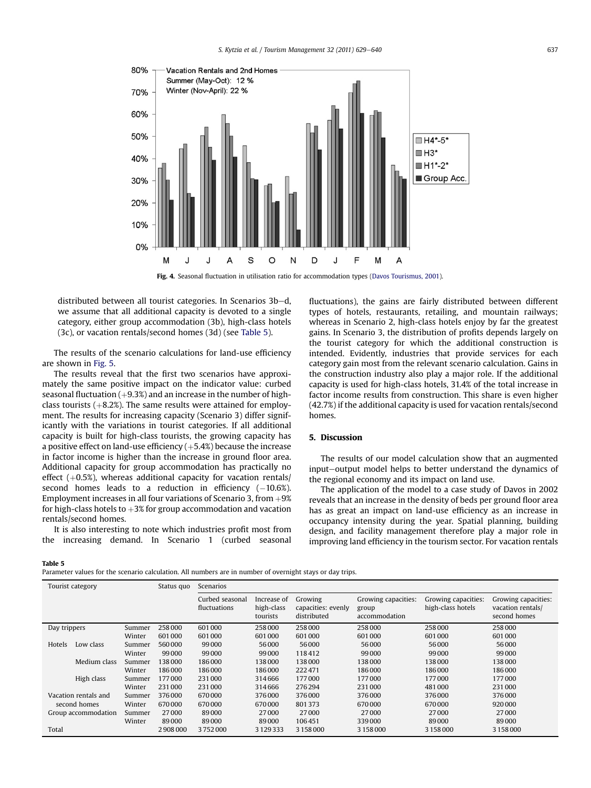<span id="page-8-0"></span>

Fig. 4. Seasonal fluctuation in utilisation ratio for accommodation types [\(Davos Tourismus, 2001](#page-10-0)).

distributed between all tourist categories. In Scenarios 3b-d, we assume that all additional capacity is devoted to a single category, either group accommodation (3b), high-class hotels (3c), or vacation rentals/second homes (3d) (see Table 5).

The results of the scenario calculations for land-use efficiency are shown in [Fig. 5.](#page-9-0)

The results reveal that the first two scenarios have approximately the same positive impact on the indicator value: curbed seasonal fluctuation  $(+9.3%)$  and an increase in the number of highclass tourists  $(+8.2%)$ . The same results were attained for employment. The results for increasing capacity (Scenario 3) differ significantly with the variations in tourist categories. If all additional capacity is built for high-class tourists, the growing capacity has a positive effect on land-use efficiency  $(+5.4%)$  because the increase in factor income is higher than the increase in ground floor area. Additional capacity for group accommodation has practically no effect  $(+0.5%)$ , whereas additional capacity for vacation rentals/ second homes leads to a reduction in efficiency  $(-10.6\%)$ . Employment increases in all four variations of Scenario 3, from  $+9\%$ for high-class hotels to  $+3%$  for group accommodation and vacation rentals/second homes.

It is also interesting to note which industries profit most from the increasing demand. In Scenario 1 (curbed seasonal fluctuations), the gains are fairly distributed between different types of hotels, restaurants, retailing, and mountain railways; whereas in Scenario 2, high-class hotels enjoy by far the greatest gains. In Scenario 3, the distribution of profits depends largely on the tourist category for which the additional construction is intended. Evidently, industries that provide services for each category gain most from the relevant scenario calculation. Gains in the construction industry also play a major role. If the additional capacity is used for high-class hotels, 31.4% of the total increase in factor income results from construction. This share is even higher (42.7%) if the additional capacity is used for vacation rentals/second homes.

# 5. Discussion

The results of our model calculation show that an augmented input-output model helps to better understand the dynamics of the regional economy and its impact on land use.

The application of the model to a case study of Davos in 2002 reveals that an increase in the density of beds per ground floor area has as great an impact on land-use efficiency as an increase in occupancy intensity during the year. Spatial planning, building design, and facility management therefore play a major role in improving land efficiency in the tourism sector. For vacation rentals

### Table 5

Parameter values for the scenario calculation. All numbers are in number of overnight stays or day trips.

| Tourist category |                      | Status quo | Scenarios |                                 |                                       |                                              |                                               |                                          |                                                          |  |  |
|------------------|----------------------|------------|-----------|---------------------------------|---------------------------------------|----------------------------------------------|-----------------------------------------------|------------------------------------------|----------------------------------------------------------|--|--|
|                  |                      |            |           | Curbed seasonal<br>fluctuations | Increase of<br>high-class<br>tourists | Growing<br>capacities: evenly<br>distributed | Growing capacities:<br>group<br>accommodation | Growing capacities:<br>high-class hotels | Growing capacities:<br>vacation rentals/<br>second homes |  |  |
| Day trippers     |                      | Summer     | 258 000   | 601 000                         | 258000                                | 258000                                       | 258000                                        | 258 000                                  | 258000                                                   |  |  |
|                  |                      | Winter     | 601 000   | 601000                          | 601000                                | 601 000                                      | 601000                                        | 601 000                                  | 601000                                                   |  |  |
| Hotels           | Low class            | Summer     | 560000    | 99000                           | 56000                                 | 56000                                        | 56000                                         | 56 000                                   | 56000                                                    |  |  |
|                  |                      | Winter     | 99 000    | 99000                           | 99000                                 | 118412                                       | 99000                                         | 99 000                                   | 99000                                                    |  |  |
|                  | Medium class         | Summer     | 138 000   | 186000                          | 138000                                | 138000                                       | 138000                                        | 138 000                                  | 138000                                                   |  |  |
|                  |                      | Winter     | 186000    | 186000                          | 186000                                | 222471                                       | 186000                                        | 186000                                   | 186000                                                   |  |  |
|                  | High class           | Summer     | 177000    | 231000                          | 314666                                | 177000                                       | 177000                                        | 177000                                   | 177000                                                   |  |  |
|                  |                      | Winter     | 231000    | 231000                          | 314666                                | 276294                                       | 231000                                        | 481000                                   | 231000                                                   |  |  |
|                  | Vacation rentals and | Summer     | 376000    | 670000                          | 376000                                | 376000                                       | 376000                                        | 376000                                   | 376000                                                   |  |  |
|                  | second homes         | Winter     | 670000    | 670000                          | 670000                                | 801373                                       | 670000                                        | 670000                                   | 920000                                                   |  |  |
|                  | Group accommodation  | Summer     | 27000     | 89000                           | 27000                                 | 27000                                        | 27000                                         | 27000                                    | 27000                                                    |  |  |
|                  |                      | Winter     | 89000     | 89000                           | 89000                                 | 106451                                       | 339000                                        | 89000                                    | 89000                                                    |  |  |
| Total            |                      |            | 2908000   | 3752000                         | 3129333                               | 3158000                                      | 3 1 5 8 0 0 0                                 | 3158000                                  | 3 158 000                                                |  |  |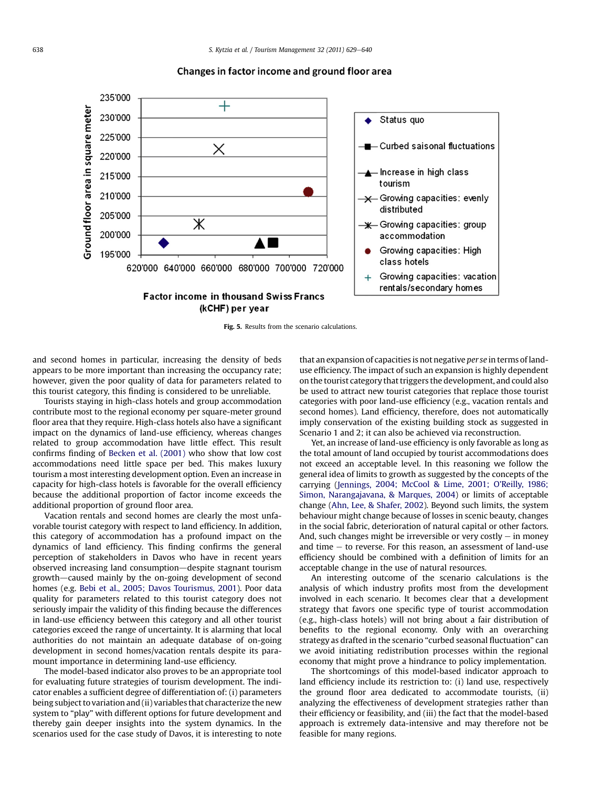<span id="page-9-0"></span>

Changes in factor income and ground floor area

Fig. 5. Results from the scenario calculations.

and second homes in particular, increasing the density of beds appears to be more important than increasing the occupancy rate; however, given the poor quality of data for parameters related to this tourist category, this finding is considered to be unreliable.

Tourists staying in high-class hotels and group accommodation contribute most to the regional economy per square-meter ground floor area that they require. High-class hotels also have a significant impact on the dynamics of land-use efficiency, whereas changes related to group accommodation have little effect. This result confirms finding of [Becken et al. \(2001\)](#page-10-0) who show that low cost accommodations need little space per bed. This makes luxury tourism a most interesting development option. Even an increase in capacity for high-class hotels is favorable for the overall efficiency because the additional proportion of factor income exceeds the additional proportion of ground floor area.

Vacation rentals and second homes are clearly the most unfavorable tourist category with respect to land efficiency. In addition, this category of accommodation has a profound impact on the dynamics of land efficiency. This finding confirms the general perception of stakeholders in Davos who have in recent years observed increasing land consumption-despite stagnant tourism growth—caused mainly by the on-going development of second homes (e.g. [Bebi et al., 2005; Davos Tourismus, 2001\)](#page-10-0). Poor data quality for parameters related to this tourist category does not seriously impair the validity of this finding because the differences in land-use efficiency between this category and all other tourist categories exceed the range of uncertainty. It is alarming that local authorities do not maintain an adequate database of on-going development in second homes/vacation rentals despite its paramount importance in determining land-use efficiency.

The model-based indicator also proves to be an appropriate tool for evaluating future strategies of tourism development. The indicator enables a sufficient degree of differentiation of: (i) parameters being subject to variation and (ii) variables that characterize the new system to "play" with different options for future development and thereby gain deeper insights into the system dynamics. In the scenarios used for the case study of Davos, it is interesting to note that an expansion of capacities is not negative per se in terms of landuse efficiency. The impact of such an expansion is highly dependent on the tourist category that triggers the development, and could also be used to attract new tourist categories that replace those tourist categories with poor land-use efficiency (e.g., vacation rentals and second homes). Land efficiency, therefore, does not automatically imply conservation of the existing building stock as suggested in Scenario 1 and 2; it can also be achieved via reconstruction.

Yet, an increase of land-use efficiency is only favorable as long as the total amount of land occupied by tourist accommodations does not exceed an acceptable level. In this reasoning we follow the general idea of limits to growth as suggested by the concepts of the carrying (Jennings, [2004; McCool & Lime, 2001; O](#page-10-0)'Reilly, 1986; [Simon, Narangajavana, & Marques, 2004\)](#page-10-0) or limits of acceptable change [\(Ahn, Lee, & Shafer, 2002](#page-10-0)). Beyond such limits, the system behaviour might change because of losses in scenic beauty, changes in the social fabric, deterioration of natural capital or other factors. And, such changes might be irreversible or very costly  $-$  in money and time  $-$  to reverse. For this reason, an assessment of land-use efficiency should be combined with a definition of limits for an acceptable change in the use of natural resources.

An interesting outcome of the scenario calculations is the analysis of which industry profits most from the development involved in each scenario. It becomes clear that a development strategy that favors one specific type of tourist accommodation (e.g., high-class hotels) will not bring about a fair distribution of benefits to the regional economy. Only with an overarching strategy as drafted in the scenario "curbed seasonal fluctuation" can we avoid initiating redistribution processes within the regional economy that might prove a hindrance to policy implementation.

The shortcomings of this model-based indicator approach to land efficiency include its restriction to: (i) land use, respectively the ground floor area dedicated to accommodate tourists, (ii) analyzing the effectiveness of development strategies rather than their efficiency or feasibility, and (iii) the fact that the model-based approach is extremely data-intensive and may therefore not be feasible for many regions.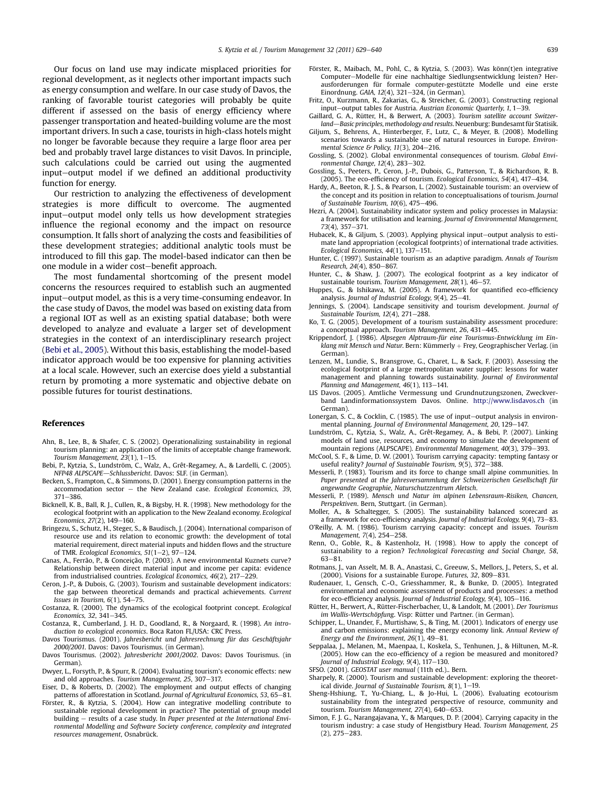<span id="page-10-0"></span>Our focus on land use may indicate misplaced priorities for regional development, as it neglects other important impacts such as energy consumption and welfare. In our case study of Davos, the ranking of favorable tourist categories will probably be quite different if assessed on the basis of energy efficiency where passenger transportation and heated-building volume are the most important drivers. In such a case, tourists in high-class hotels might no longer be favorable because they require a large floor area per bed and probably travel large distances to visit Davos. In principle, such calculations could be carried out using the augmented input-output model if we defined an additional productivity function for energy.

Our restriction to analyzing the effectiveness of development strategies is more difficult to overcome. The augmented input-output model only tells us how development strategies influence the regional economy and the impact on resource consumption. It falls short of analyzing the costs and feasibilities of these development strategies; additional analytic tools must be introduced to fill this gap. The model-based indicator can then be one module in a wider cost-benefit approach.

The most fundamental shortcoming of the present model concerns the resources required to establish such an augmented input-output model, as this is a very time-consuming endeavor. In the case study of Davos, the model was based on existing data from a regional IOT as well as an existing spatial database; both were developed to analyze and evaluate a larger set of development strategies in the context of an interdisciplinary research project (Bebi et al., 2005). Without this basis, establishing the model-based indicator approach would be too expensive for planning activities at a local scale. However, such an exercise does yield a substantial return by promoting a more systematic and objective debate on possible futures for tourist destinations.

## References

- Ahn, B., Lee, B., & Shafer, C. S. (2002). Operationalizing sustainability in regional tourism planning: an application of the limits of acceptable change framework. Tourism Management,  $23(1)$ ,  $1-15$ .
- Bebi, P., Kytzia, S., Lundström, C., Walz, A., Grêt-Regamey, A., & Lardelli, C. (2005). NFP48 ALPSCAPE-Schlussbericht. Davos: SLF. (in German).
- Becken, S., Frampton, C., & Simmons, D. (2001). Energy consumption patterns in the  $accommodation sector - the New Zealand case. Ecological Economics, 39,$  $371 - 386$
- Bicknell, K. B., Ball, R. J., Cullen, R., & Bigsby, H. R. (1998). New methodology for the ecological footprint with an application to the New Zealand economy. Ecological Economics, 27(2), 149-160.
- Bringezu, S., Schutz, H., Steger, S., & Baudisch, J. (2004). International comparison of resource use and its relation to economic growth: the development of total material requirement, direct material inputs and hidden flows and the structure of TMR. Ecological Economics,  $51(1-2)$ ,  $97-124$ .
- Canas, A., Ferrão, P., & Conceição, P. (2003). A new environmental Kuznets curve? Relationship between direct material input and income per capita: evidence from industrialised countries. Ecological Economics. 46(2), 217-229.
- Ceron, J.-P., & Dubois, G. (2003). Tourism and sustainable development indicators: the gap between theoretical demands and practical achievements. Current Issues in Tourism,  $6(1)$ ,  $54-75$ .
- Costanza, R. (2000). The dynamics of the ecological footprint concept. Ecological Economics, 32, 341-345.
- Costanza, R., Cumberland, J. H. D., Goodland, R., & Norgaard, R. (1998). An introduction to ecological economics. Boca Raton FL/USA: CRC Press.
- Davos Tourismus. (2001). Jahresbericht und Jahresrechnung für das Geschäftsjahr 2000/2001. Davos: Davos Tourismus. (in German).
- Davos Tourismus. (2002). Jahresbericht 2001/2002. Davos: Davos Tourismus. (in German).
- Dwyer, L., Forsyth, P., & Spurr, R. (2004). Evaluating tourism's economic effects: new and old approaches. Tourism Management, 25, 307-317.
- Eiser, D., & Roberts, D. (2002). The employment and output effects of changing patterns of afforestation in Scotland. Journal of Agricultural Economics, 53, 65-81.
- Förster, R., & Kytzia, S. (2004). How can integrative modelling contribute to sustainable regional development in practice? The potential of group model building - results of a case study. In Paper presented at the International Environmental Modelling and Software Society conference, complexity and integrated resources management, Osnabrück.
- Förster, R., Maibach, M., Pohl, C., & Kytzia, S. (2003). Was könn(t)en integrative Computer-Modelle für eine nachhaltige Siedlungsentwicklung leisten? Herausforderungen für formale computer-gestützte Modelle und eine erste Einordnung. GAIA,  $12(4)$ ,  $321-324$ , (in German).
- Fritz, O., Kurzmann, R., Zakarias, G., & Streicher, G. (2003). Constructing regional input-output tables for Austria. Austrian Economic Quarterly, 1,  $1-39$ .
- Gaillard, G. A., Rütter, H., & Berwert, A. (2003). Tourism satellite account Switzerland-Basic principles, methodology and results. Neuenburg: Bundesamt für Statisik.
- Gilium, S., Behrens, A., Hinterberger, F., Lutz, C., & Meyer, B. (2008). Modelling scenarios towards a sustainable use of natural resources in Europe. Environmental Science & Policy,  $11(3)$ ,  $204-216$ .
- Gossling, S. (2002). Global environmental consequences of tourism. Global Environmental Change,  $12(4)$ ,  $283-302$ .
- Gossling, S., Peeters, P., Ceron, J.-P., Dubois, G., Patterson, T., & Richardson, R. B.  $(2005)$ . The eco-efficiency of tourism. Ecological Economics,  $54(4)$ ,  $417-434$ .
- Hardy, A., Beeton, R. J. S., & Pearson, L. (2002). Sustainable tourism: an overview of the concept and its position in relation to conceptualisations of tourism. Journal of Sustainable Tourism,  $10(6)$ ,  $475-496$ .
- Hezri, A. (2004). Sustainability indicator system and policy processes in Malaysia: a framework for utilisation and learning. Journal of Environmental Management, 73(4), 357-371.
- Hubacek, K., & Giljum, S. (2003). Applying physical input-output analysis to estimate land appropriation (ecological footprints) of international trade activities. Ecological Economics,  $44(1)$ ,  $137-151$ .
- Hunter, C. (1997). Sustainable tourism as an adaptive paradigm. Annals of Tourism Research, 24(4), 850-867.
- Hunter, C., & Shaw, J. (2007). The ecological footprint as a key indicator of sustainable tourism. Tourism Management,  $28(1)$ ,  $46-57$ .
- Huppes, G., & Ishikawa, M. (2005). A framework for quantified eco-efficiency analysis. Journal of Industrial Ecology,  $9(4)$ ,  $25-41$ .
- Jennings, S. (2004). Landscape sensitivity and tourism development. Journal of Sustainable Tourism,  $12(4)$ ,  $271-288$ .
- Ko, T. G. (2005). Development of a tourism sustainability assessment procedure: a conceptual approach. Tourism Management, 26, 431-445.
- Krippendorf, J. (1986). Alpsegen Alptraum-für eine Tourismus-Entwicklung im Einklang mit Mensch und Natur. Bern: Kümmerly + Frey, Geographischer Verlag. (in German).
- Lenzen, M., Lundie, S., Bransgrove, G., Charet, L., & Sack, F. (2003). Assessing the ecological footprint of a large metropolitan water supplier: lessons for water management and planning towards sustainability. Journal of Environmental Planning and Management, 46(1), 113-141.
- LIS Davos. (2005). Amtliche Vermessung und Grundnutzungszonen, Zweckverband Landinformationssystem Davos. Online. <http://www.lisdavos.ch> (in German).
- Lonergan, S. C., & Cocklin, C. (1985). The use of input-output analysis in environmental planning. Journal of Environmental Management, 20, 129-147
- Lundström, C., Kytzia, S., Walz, A., Grêt-Regamey, A., & Bebi, P. (2007). Linking models of land use, resources, and economy to simulate the development of mountain regions (ALPSCAPE). Environmental Management, 40(3), 379-393.
- McCool, S. F., & Lime, D. W. (2001). Tourism carrying capacity: tempting fantasy or useful reality? Journal of Sustainable Tourism,  $9(5)$ ,  $372-388$ .
- Messerli, P. (1983). Tourism and its force to change small alpine communities. In Paper presented at the Jahresversammlung der Schweizerischen Gesellschaft für angewandte Geographie, Naturschutzzentrum Aletsch.
- Messerli, P. (1989). Mensch und Natur im alpinen Lebensraum-Risiken, Chancen, Perspektiven. Bern, Stuttgart. (in German).
- Moller, A., & Schaltegger, S. (2005). The sustainability balanced scorecard as a framework for eco-efficiency analysis. Journal of Industrial Ecology,  $9(4)$ ,  $73-83$ .
- O'Reilly, A. M. (1986). Tourism carrying capacity: concept and issues. Tourism Management, 7(4), 254-258.
- Renn, O., Goble, R., & Kastenholz, H. (1998). How to apply the concept of sustainability to a region? Technological Forecasting and Social Change, 58,  $63 - 81.$
- Rotmans, J., van Asselt, M. B. A., Anastasi, C., Greeuw, S., Mellors, J., Peters, S., et al. (2000). Visions for a sustainable Europe. Futures, 32, 809-831.
- Rudenauer, I., Gensch, C.-O., Griesshammer, R., & Bunke, D. (2005). Integrated environmental and economic assessment of products and processes: a method for eco-efficiency analysis. Journal of Industrial Ecology,  $9(4)$ , 105-116.
- Rütter, H., Berwert, A., Rütter-Fischerbacher, U., & Landolt, M. (2001). Der Tourismus im Wallis-Wertschöpfung. Visp: Rütter und Partner. (in German).
- Schipper, L., Unander, F., Murtishaw, S., & Ting, M. (2001). Indicators of energy use and carbon emissions: explaining the energy economy link. Annual Review of Energy and the Environment,  $26(1)$ ,  $49-81$ .
- Seppalaa, J., Melanen, M., Maenpaa, I., Koskela, S., Tenhunen, J., & Hiltunen, M.-R. (2005). How can the eco-efficiency of a region be measured and monitored? Journal of Industrial Ecology,  $9(4)$ ,  $117-130$ .
- SFSO. (2001). GEOSTAT user manual (11th ed.).. Bern.
- Sharpely, R. (2000). Tourism and sustainable development: exploring the theoretical divide. Journal of Sustainable Tourism,  $8(1)$ ,  $1-19$ .
- Sheng-Hshiung, T., Yu-Chiang, L., & Jo-Hui, L. (2006). Evaluating ecotourism sustainability from the integrated perspective of resource, community and tourism. Tourism Management,  $27(4)$ , 640-653
- Simon, F. J. G., Narangajavana, Y., & Marques, D. P. (2004). Carrying capacity in the tourism industry: a case study of Hengistbury Head. Tourism Management, 25  $(2)$ , 275 $-283$ .